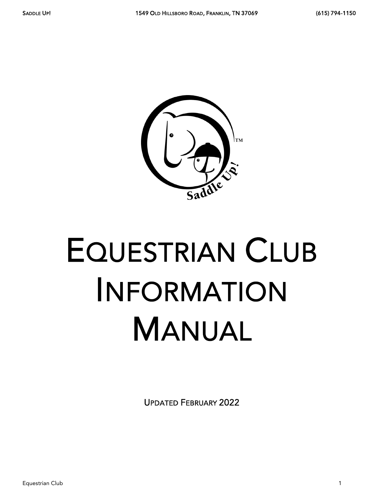

# EQUESTRIAN CLUB INFORMATION MANUAL

UPDATED FEBRUARY 2022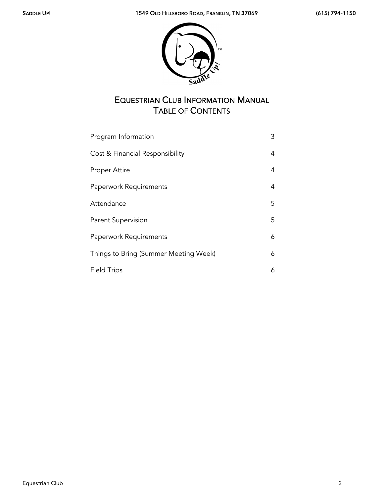

# EQUESTRIAN CLUB INFORMATION MANUAL TABLE OF CONTENTS

| Program Information                   | 3 |
|---------------------------------------|---|
| Cost & Financial Responsibility       | 4 |
| Proper Attire                         | 4 |
| Paperwork Requirements                | 4 |
| Attendance                            | 5 |
| Parent Supervision                    | 5 |
| Paperwork Requirements                | 6 |
| Things to Bring (Summer Meeting Week) | 6 |
| <b>Field Trips</b>                    | 6 |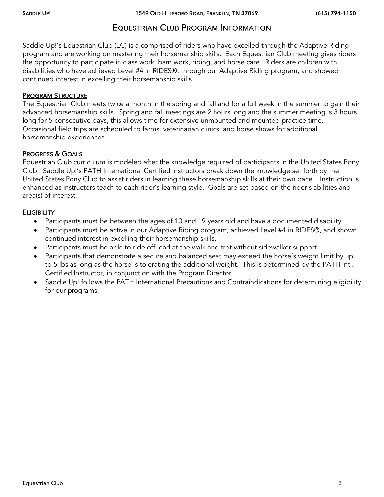## EQUESTRIAN CLUB PROGRAM INFORMATION

Saddle Up!'s Equestrian Club (EC) is a comprised of riders who have excelled through the Adaptive Riding program and are working on mastering their horsemanship skills. Each Equestrian Club meeting gives riders the opportunity to participate in class work, barn work, riding, and horse care. Riders are children with disabilities who have achieved Level #4 in RIDES®, through our Adaptive Riding program, and showed continued interest in excelling their horsemanship skills.

#### PROGRAM STRUCTURE

The Equestrian Club meets twice a month in the spring and fall and for a full week in the summer to gain their advanced horsemanship skills. Spring and fall meetings are 2 hours long and the summer meeting is 3 hours long for 5 consecutive days, this allows time for extensive unmounted and mounted practice time. Occasional field trips are scheduled to farms, veterinarian clinics, and horse shows for additional horsemanship experiences.

#### PROGRESS & GOALS

Equestrian Club curriculum is modeled after the knowledge required of participants in the United States Pony Club. Saddle Up!'s PATH International Certified Instructors break down the knowledge set forth by the United States Pony Club to assist riders in learning these horsemanship skills at their own pace. Instruction is enhanced as instructors teach to each rider's learning style. Goals are set based on the rider's abilities and area(s) of interest.

#### **ELIGIBILITY**

- Participants must be between the ages of 10 and 19 years old and have a documented disability.
- Participants must be active in our Adaptive Riding program, achieved Level #4 in RIDES®, and shown continued interest in excelling their horsemanship skills.
- Participants must be able to ride off lead at the walk and trot without sidewalker support.
- Participants that demonstrate a secure and balanced seat may exceed the horse's weight limit by up to 5 lbs as long as the horse is tolerating the additional weight. This is determined by the PATH Intl. Certified Instructor, in conjunction with the Program Director.
- Saddle Up! follows the PATH International Precautions and Contraindications for determining eligibility for our programs.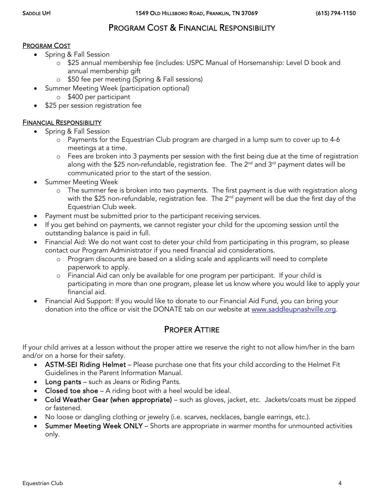# PROGRAM COST & FINANCIAL RESPONSIBILITY

#### PROGRAM COST

- Spring & Fall Session
	- o \$25 annual membership fee (includes: USPC Manual of Horsemanship: Level D book and annual membership gift
	- o \$50 fee per meeting (Spring & Fall sessions)
- Summer Meeting Week (participation optional)
	- o \$400 per participant
- \$25 per session registration fee

#### FINANCIAL RESPONSIBILITY

- Spring & Fall Session
	- o Payments for the Equestrian Club program are charged in a lump sum to cover up to 4-6 meetings at a time.
	- o Fees are broken into 3 payments per session with the first being due at the time of registration along with the \$25 non-refundable, registration fee. The  $2^{nd}$  and  $3^{rd}$  payment dates will be communicated prior to the start of the session.
- Summer Meeting Week
	- o The summer fee is broken into two payments. The first payment is due with registration along with the \$25 non-refundable, registration fee. The 2<sup>nd</sup> payment will be due the first day of the Equestrian Club week.
- Payment must be submitted prior to the participant receiving services.
- If you get behind on payments, we cannot register your child for the upcoming session until the outstanding balance is paid in full.
- Financial Aid: We do not want cost to deter your child from participating in this program, so please contact our Program Administrator if you need financial aid considerations.
	- o Program discounts are based on a sliding scale and applicants will need to complete paperwork to apply.
	- o Financial Aid can only be available for one program per participant. If your child is participating in more than one program, please let us know where you would like to apply your financial aid.
- Financial Aid Support: If you would like to donate to our Financial Aid Fund, you can bring your donation into the office or visit the DONATE tab on our website at [www.saddleupnashville.org.](http://www.saddleupnashville.org/)

## PROPER ATTIRE

If your child arrives at a lesson without the proper attire we reserve the right to not allow him/her in the barn and/or on a horse for their safety.

- ASTM-SEI Riding Helmet Please purchase one that fits your child according to the Helmet Fit Guidelines in the Parent Information Manual.
- Long pants such as Jeans or Riding Pants.
- Closed toe shoe A riding boot with a heel would be ideal.
- Cold Weather Gear (when appropriate) such as gloves, jacket, etc. Jackets/coats must be zipped or fastened.
- No loose or dangling clothing or jewelry (i.e. scarves, necklaces, bangle earrings, etc.).
- Summer Meeting Week ONLY Shorts are appropriate in warmer months for unmounted activities only.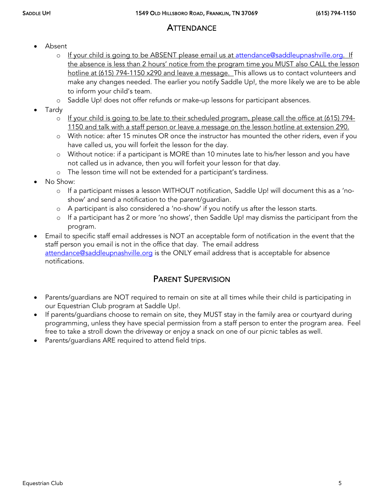# **ATTENDANCE**

- Absent
	- o If your child is going to be ABSENT please email us at [attendance@saddleupnashville.org.](mailto:attendance@saddleupnashville.org) If the absence is less than 2 hours' notice from the program time you MUST also CALL the lesson hotline at (615) 794-1150 x290 and leave a message. This allows us to contact volunteers and make any changes needed. The earlier you notify Saddle Up!, the more likely we are to be able to inform your child's team.
	- o Saddle Up! does not offer refunds or make-up lessons for participant absences.
- Tardy
	- o If your child is going to be late to their scheduled program, please call the office at (615) 794-1150 and talk with a staff person or leave a message on the lesson hotline at extension 290.
	- o With notice: after 15 minutes OR once the instructor has mounted the other riders, even if you have called us, you will forfeit the lesson for the day.
	- o Without notice: if a participant is MORE than 10 minutes late to his/her lesson and you have not called us in advance, then you will forfeit your lesson for that day.
	- o The lesson time will not be extended for a participant's tardiness.
- No Show:
	- o If a participant misses a lesson WITHOUT notification, Saddle Up! will document this as a 'noshow' and send a notification to the parent/guardian.
	- o A participant is also considered a 'no-show' if you notify us after the lesson starts.
	- o If a participant has 2 or more 'no shows', then Saddle Up! may dismiss the participant from the program.
- Email to specific staff email addresses is NOT an acceptable form of notification in the event that the staff person you email is not in the office that day. The email address [attendance@saddleupnashville.org](mailto:attendance@saddleupnashville.org) is the ONLY email address that is acceptable for absence notifications.

# PARENT SUPERVISION

- Parents/guardians are NOT required to remain on site at all times while their child is participating in our Equestrian Club program at Saddle Up!.
- If parents/guardians choose to remain on site, they MUST stay in the family area or courtyard during programming, unless they have special permission from a staff person to enter the program area. Feel free to take a stroll down the driveway or enjoy a snack on one of our picnic tables as well.
- Parents/guardians ARE required to attend field trips.